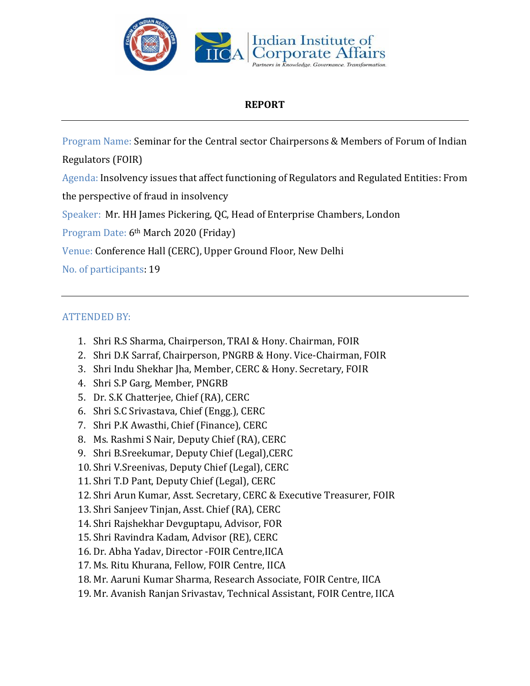

## **REPORT**

Program Name: Seminar for the Central sector Chairpersons & Members of Forum of Indian

Regulators (FOIR)

Agenda: Insolvency issues that affect functioning of Regulators and Regulated Entities: From

the perspective of fraud in insolvency

Speaker: Mr. HH James Pickering, QC, Head of Enterprise Chambers, London

Program Date: 6th March 2020 (Friday)

Venue: Conference Hall (CERC), Upper Ground Floor, New Delhi

No. of participants: 19

## ATTENDED BY:

- 1. Shri R.S Sharma, Chairperson, TRAI & Hony. Chairman, FOIR
- 2. Shri D.K Sarraf, Chairperson, PNGRB & Hony. Vice-Chairman, FOIR
- 3. Shri Indu Shekhar Jha, Member, CERC & Hony. Secretary, FOIR
- 4. Shri S.P Garg, Member, PNGRB
- 5. Dr. S.K Chatterjee, Chief (RA), CERC
- 6. Shri S.C Srivastava, Chief (Engg.), CERC
- 7. Shri P.K Awasthi, Chief (Finance), CERC
- 8. Ms. Rashmi S Nair, Deputy Chief (RA), CERC
- 9. Shri B.Sreekumar, Deputy Chief (Legal),CERC
- 10. Shri V.Sreenivas, Deputy Chief (Legal), CERC
- 11. Shri T.D Pant, Deputy Chief (Legal), CERC
- 12. Shri Arun Kumar, Asst. Secretary, CERC & Executive Treasurer, FOIR
- 13. Shri Sanjeev Tinjan, Asst. Chief (RA), CERC
- 14. Shri Rajshekhar Devguptapu, Advisor, FOR
- 15. Shri Ravindra Kadam, Advisor (RE), CERC
- 16. Dr. Abha Yadav, Director -FOIR Centre,IICA
- 17. Ms. Ritu Khurana, Fellow, FOIR Centre, IICA
- 18. Mr. Aaruni Kumar Sharma, Research Associate, FOIR Centre, IICA
- 19. Mr. Avanish Ranjan Srivastav, Technical Assistant, FOIR Centre, IICA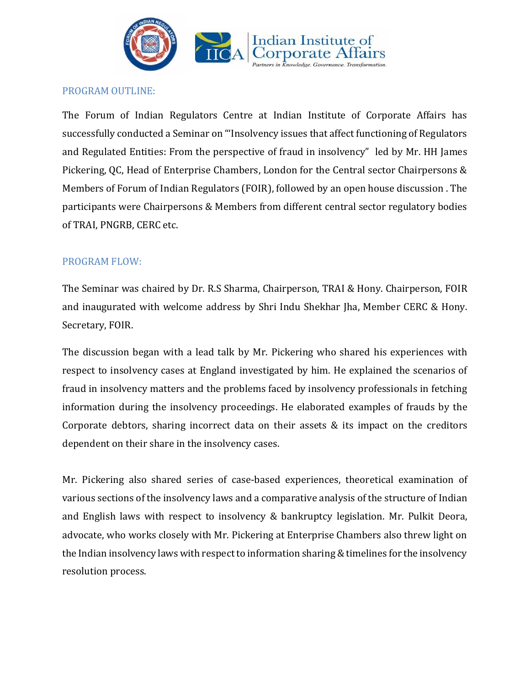

## PROGRAM OUTLINE:

The Forum of Indian Regulators Centre at Indian Institute of Corporate Affairs has successfully conducted a Seminar on "'Insolvency issues that affect functioning of Regulators and Regulated Entities: From the perspective of fraud in insolvency" led by Mr. HH James Pickering, QC, Head of Enterprise Chambers, London for the Central sector Chairpersons & Members of Forum of Indian Regulators (FOIR), followed by an open house discussion . The participants were Chairpersons & Members from different central sector regulatory bodies of TRAI, PNGRB, CERC etc.

## PROGRAM FLOW:

The Seminar was chaired by Dr. R.S Sharma, Chairperson, TRAI & Hony. Chairperson, FOIR and inaugurated with welcome address by Shri Indu Shekhar Jha, Member CERC & Hony. Secretary, FOIR.

The discussion began with a lead talk by Mr. Pickering who shared his experiences with respect to insolvency cases at England investigated by him. He explained the scenarios of fraud in insolvency matters and the problems faced by insolvency professionals in fetching information during the insolvency proceedings. He elaborated examples of frauds by the Corporate debtors, sharing incorrect data on their assets & its impact on the creditors dependent on their share in the insolvency cases.

Mr. Pickering also shared series of case-based experiences, theoretical examination of various sections of the insolvency laws and a comparative analysis of the structure of Indian and English laws with respect to insolvency & bankruptcy legislation. Mr. Pulkit Deora, advocate, who works closely with Mr. Pickering at Enterprise Chambers also threw light on the Indian insolvency laws with respect to information sharing & timelines for the insolvency resolution process.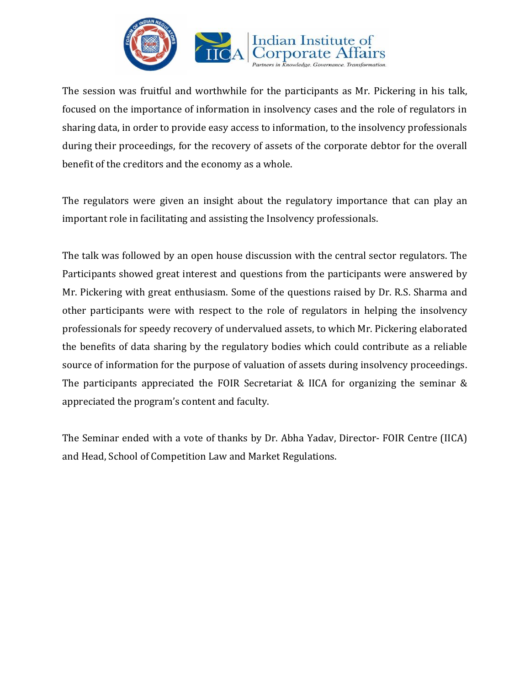

The session was fruitful and worthwhile for the participants as Mr. Pickering in his talk, focused on the importance of information in insolvency cases and the role of regulators in sharing data, in order to provide easy access to information, to the insolvency professionals during their proceedings, for the recovery of assets of the corporate debtor for the overall benefit of the creditors and the economy as a whole.

The regulators were given an insight about the regulatory importance that can play an important role in facilitating and assisting the Insolvency professionals.

The talk was followed by an open house discussion with the central sector regulators. The Participants showed great interest and questions from the participants were answered by Mr. Pickering with great enthusiasm. Some of the questions raised by Dr. R.S. Sharma and other participants were with respect to the role of regulators in helping the insolvency professionals for speedy recovery of undervalued assets, to which Mr. Pickering elaborated the benefits of data sharing by the regulatory bodies which could contribute as a reliable source of information for the purpose of valuation of assets during insolvency proceedings. The participants appreciated the FOIR Secretariat & IICA for organizing the seminar & appreciated the program's content and faculty.

The Seminar ended with a vote of thanks by Dr. Abha Yadav, Director- FOIR Centre (IICA) and Head, School of Competition Law and Market Regulations.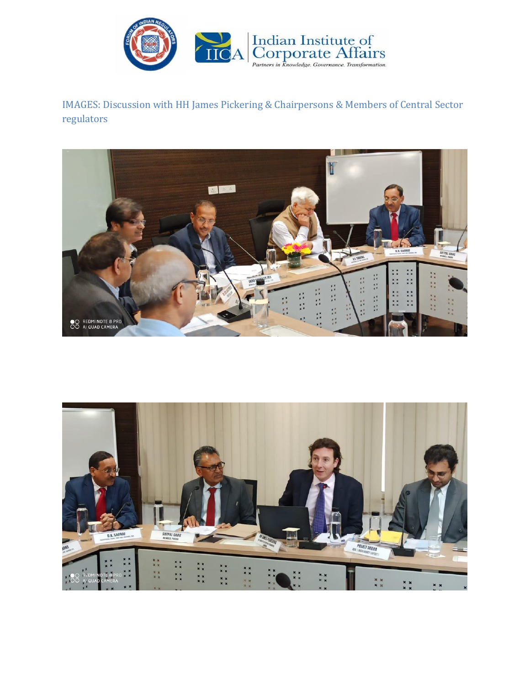

IMAGES: Discussion with HH James Pickering & Chairpersons & Members of Central Sector regulators